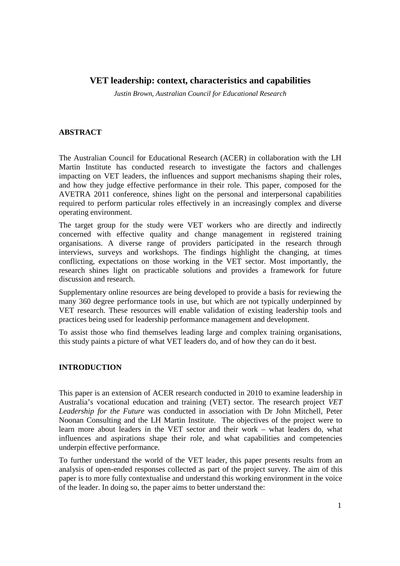# **VET leadership: context, characteristics and capabilities**

*Justin Brown, Australian Council for Educational Research* 

### **ABSTRACT**

The Australian Council for Educational Research (ACER) in collaboration with the LH Martin Institute has conducted research to investigate the factors and challenges impacting on VET leaders, the influences and support mechanisms shaping their roles, and how they judge effective performance in their role. This paper, composed for the AVETRA 2011 conference, shines light on the personal and interpersonal capabilities required to perform particular roles effectively in an increasingly complex and diverse operating environment.

The target group for the study were VET workers who are directly and indirectly concerned with effective quality and change management in registered training organisations. A diverse range of providers participated in the research through interviews, surveys and workshops. The findings highlight the changing, at times conflicting, expectations on those working in the VET sector. Most importantly, the research shines light on practicable solutions and provides a framework for future discussion and research.

Supplementary online resources are being developed to provide a basis for reviewing the many 360 degree performance tools in use, but which are not typically underpinned by VET research. These resources will enable validation of existing leadership tools and practices being used for leadership performance management and development.

To assist those who find themselves leading large and complex training organisations, this study paints a picture of what VET leaders do, and of how they can do it best.

## **INTRODUCTION**

This paper is an extension of ACER research conducted in 2010 to examine leadership in Australia's vocational education and training (VET) sector. The research project *VET Leadership for the Future* was conducted in association with Dr John Mitchell, Peter Noonan Consulting and the LH Martin Institute. The objectives of the project were to learn more about leaders in the VET sector and their work – what leaders do, what influences and aspirations shape their role, and what capabilities and competencies underpin effective performance.

To further understand the world of the VET leader, this paper presents results from an analysis of open-ended responses collected as part of the project survey. The aim of this paper is to more fully contextualise and understand this working environment in the voice of the leader. In doing so, the paper aims to better understand the: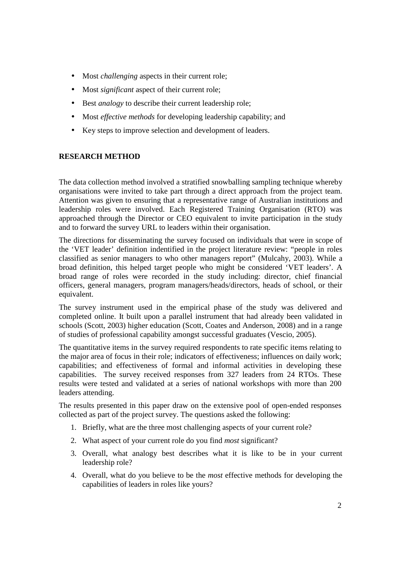- Most *challenging* aspects in their current role;
- Most *significant* aspect of their current role;
- Best *analogy* to describe their current leadership role;
- Most *effective methods* for developing leadership capability; and
- Key steps to improve selection and development of leaders.

## **RESEARCH METHOD**

The data collection method involved a stratified snowballing sampling technique whereby organisations were invited to take part through a direct approach from the project team. Attention was given to ensuring that a representative range of Australian institutions and leadership roles were involved. Each Registered Training Organisation (RTO) was approached through the Director or CEO equivalent to invite participation in the study and to forward the survey URL to leaders within their organisation.

The directions for disseminating the survey focused on individuals that were in scope of the 'VET leader' definition indentified in the project literature review: "people in roles classified as senior managers to who other managers report" (Mulcahy, 2003). While a broad definition, this helped target people who might be considered 'VET leaders'. A broad range of roles were recorded in the study including: director, chief financial officers, general managers, program managers/heads/directors, heads of school, or their equivalent.

The survey instrument used in the empirical phase of the study was delivered and completed online. It built upon a parallel instrument that had already been validated in schools (Scott, 2003) higher education (Scott, Coates and Anderson, 2008) and in a range of studies of professional capability amongst successful graduates (Vescio, 2005).

The quantitative items in the survey required respondents to rate specific items relating to the major area of focus in their role; indicators of effectiveness; influences on daily work; capabilities; and effectiveness of formal and informal activities in developing these capabilities. The survey received responses from 327 leaders from 24 RTOs. These results were tested and validated at a series of national workshops with more than 200 leaders attending.

The results presented in this paper draw on the extensive pool of open-ended responses collected as part of the project survey. The questions asked the following:

- 1. Briefly, what are the three most challenging aspects of your current role?
- 2. What aspect of your current role do you find *most* significant?
- 3. Overall, what analogy best describes what it is like to be in your current leadership role?
- 4. Overall, what do you believe to be the *most* effective methods for developing the capabilities of leaders in roles like yours?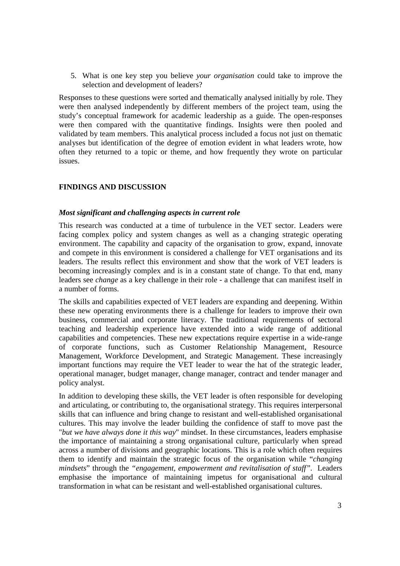5. What is one key step you believe *your organisation* could take to improve the selection and development of leaders?

Responses to these questions were sorted and thematically analysed initially by role. They were then analysed independently by different members of the project team, using the study's conceptual framework for academic leadership as a guide. The open-responses were then compared with the quantitative findings. Insights were then pooled and validated by team members. This analytical process included a focus not just on thematic analyses but identification of the degree of emotion evident in what leaders wrote, how often they returned to a topic or theme, and how frequently they wrote on particular issues.

## **FINDINGS AND DISCUSSION**

### *Most significant and challenging aspects in current role*

This research was conducted at a time of turbulence in the VET sector. Leaders were facing complex policy and system changes as well as a changing strategic operating environment. The capability and capacity of the organisation to grow, expand, innovate and compete in this environment is considered a challenge for VET organisations and its leaders. The results reflect this environment and show that the work of VET leaders is becoming increasingly complex and is in a constant state of change. To that end, many leaders see *change* as a key challenge in their role - a challenge that can manifest itself in a number of forms.

The skills and capabilities expected of VET leaders are expanding and deepening. Within these new operating environments there is a challenge for leaders to improve their own business, commercial and corporate literacy. The traditional requirements of sectoral teaching and leadership experience have extended into a wide range of additional capabilities and competencies. These new expectations require expertise in a wide-range of corporate functions, such as Customer Relationship Management, Resource Management, Workforce Development, and Strategic Management. These increasingly important functions may require the VET leader to wear the hat of the strategic leader, operational manager, budget manager, change manager, contract and tender manager and policy analyst.

In addition to developing these skills, the VET leader is often responsible for developing and articulating, or contributing to, the organisational strategy. This requires interpersonal skills that can influence and bring change to resistant and well-established organisational cultures. This may involve the leader building the confidence of staff to move past the "*but we have always done it this way*" mindset. In these circumstances, leaders emphasise the importance of maintaining a strong organisational culture, particularly when spread across a number of divisions and geographic locations. This is a role which often requires them to identify and maintain the strategic focus of the organisation while "*changing mindsets*" through the *"engagement, empowerment and revitalisation of staff".* Leaders emphasise the importance of maintaining impetus for organisational and cultural transformation in what can be resistant and well-established organisational cultures.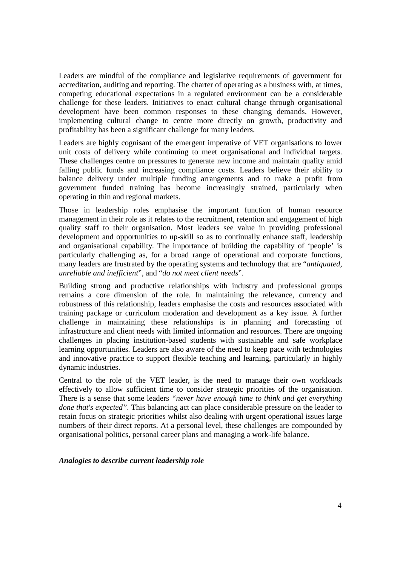Leaders are mindful of the compliance and legislative requirements of government for accreditation, auditing and reporting. The charter of operating as a business with, at times, competing educational expectations in a regulated environment can be a considerable challenge for these leaders. Initiatives to enact cultural change through organisational development have been common responses to these changing demands. However, implementing cultural change to centre more directly on growth, productivity and profitability has been a significant challenge for many leaders.

Leaders are highly cognisant of the emergent imperative of VET organisations to lower unit costs of delivery while continuing to meet organisational and individual targets. These challenges centre on pressures to generate new income and maintain quality amid falling public funds and increasing compliance costs. Leaders believe their ability to balance delivery under multiple funding arrangements and to make a profit from government funded training has become increasingly strained, particularly when operating in thin and regional markets.

Those in leadership roles emphasise the important function of human resource management in their role as it relates to the recruitment, retention and engagement of high quality staff to their organisation. Most leaders see value in providing professional development and opportunities to up-skill so as to continually enhance staff, leadership and organisational capability. The importance of building the capability of 'people' is particularly challenging as, for a broad range of operational and corporate functions, many leaders are frustrated by the operating systems and technology that are "*antiquated, unreliable and inefficient*", and "*do not meet client needs*".

Building strong and productive relationships with industry and professional groups remains a core dimension of the role. In maintaining the relevance, currency and robustness of this relationship, leaders emphasise the costs and resources associated with training package or curriculum moderation and development as a key issue. A further challenge in maintaining these relationships is in planning and forecasting of infrastructure and client needs with limited information and resources. There are ongoing challenges in placing institution-based students with sustainable and safe workplace learning opportunities. Leaders are also aware of the need to keep pace with technologies and innovative practice to support flexible teaching and learning, particularly in highly dynamic industries.

Central to the role of the VET leader, is the need to manage their own workloads effectively to allow sufficient time to consider strategic priorities of the organisation. There is a sense that some leaders *"never have enough time to think and get everything done that's expected"*. This balancing act can place considerable pressure on the leader to retain focus on strategic priorities whilst also dealing with urgent operational issues large numbers of their direct reports. At a personal level, these challenges are compounded by organisational politics, personal career plans and managing a work-life balance.

#### *Analogies to describe current leadership role*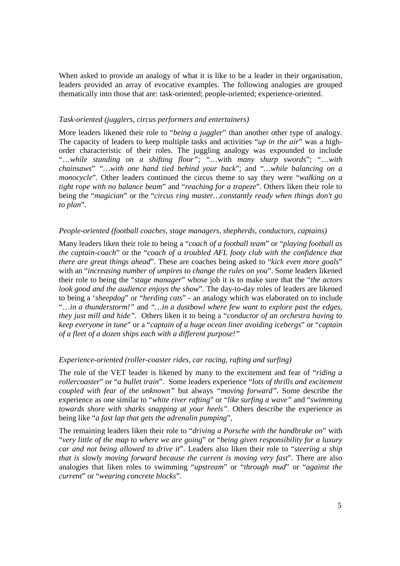When asked to provide an analogy of what it is like to be a leader in their organisation, leaders provided an array of evocative examples. The following analogies are grouped thematically into those that are: task-oriented; people-oriented; experience-oriented.

### *Task-oriented (jugglers, circus performers and entertainers)*

More leaders likened their role to "*being a juggler*" than another other type of analogy. The capacity of leaders to keep multiple tasks and activities "*up in the air*" was a highorder characteristic of their roles. The juggling analogy was expounded to include "…*while standing on a shifting floor";* "…with *many sharp swords*"; "…*with chainsaws*" *"…with one hand tied behind your back*"; and "*…while balancing on a monocycle*". Other leaders continued the circus theme to say they were "*walking on a tight rope with no balance beam*" and "*reaching for a trapeze*". Others liken their role to being the "*magician*" or the "*circus ring master…constantly ready when things don't go to plan*".

### *People-oriented (football coaches, stage managers, shepherds, conductors, captains)*

Many leaders liken their role to being a "*coach of a football team*" or "*playing football as the captain-coach*" or the "*coach of a troubled AFL footy club with the confidence that there are great things ahead*". These are coaches being asked to "*kick even more goals*" with an "*increasing number of umpires to change the rules on you*". Some leaders likened their role to being the "*stage manager*" whose job it is to make sure that the "*the actors look good and the audience enjoys the show*". The day-to-day roles of leaders are likened to being a '*sheepdog*" or "*herding cats*" - an analogy which was elaborated on to include "…*in a thunderstorm!"* and *"…in a dustbowl where few want to explore past the edges, they just mill and hide".* Others liken it to being a "*conductor of an orchestra having to keep everyone in tune*" or a "*captain of a huge ocean liner avoiding icebergs*" or "*captain of a fleet of a dozen ships each with a different purpose!"*

### *Experience-oriented (roller-coaster rides, car racing, rafting and surfing)*

The role of the VET leader is likened by many to the excitement and fear of "*riding a rollercoaster*" or "*a bullet train*". Some leaders experience "*lots of thrills and excitement coupled with fear of the unknown"* but always *"moving forward".* Some describe the experience as one similar to "*white river rafting*" or "*like surfing a wave"* and "*swimming towards shore with sharks snapping at your heels".* Others describe the experience as being like "*a fast lap that gets the adrenalin pumping*",

The remaining leaders liken their role to "*driving a Porsche with the handbrake on*" with "*very little of the map to where we are going*" or "*being given responsibility for a luxury car and not being allowed to drive it*". Leaders also liken their role to "*steering a ship that is slowly moving forward because the current is moving very fast*". There are also analogies that liken roles to swimming "*upstream*" or "*through mud*" or "*against the current*" or "*wearing concrete blocks*".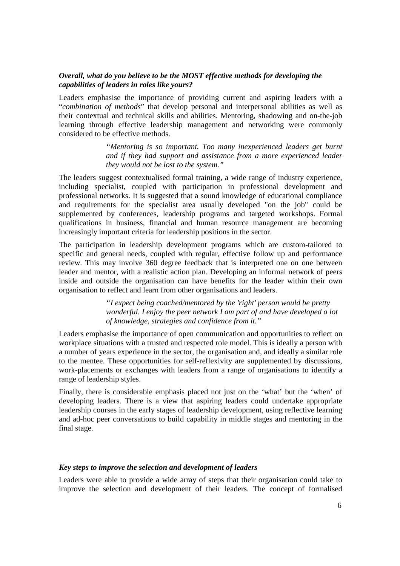### *Overall, what do you believe to be the MOST effective methods for developing the capabilities of leaders in roles like yours?*

Leaders emphasise the importance of providing current and aspiring leaders with a "*combination of methods*" that develop personal and interpersonal abilities as well as their contextual and technical skills and abilities. Mentoring, shadowing and on-the-job learning through effective leadership management and networking were commonly considered to be effective methods.

> *"Mentoring is so important. Too many inexperienced leaders get burnt and if they had support and assistance from a more experienced leader they would not be lost to the system."*

The leaders suggest contextualised formal training, a wide range of industry experience, including specialist, coupled with participation in professional development and professional networks. It is suggested that a sound knowledge of educational compliance and requirements for the specialist area usually developed "on the job" could be supplemented by conferences, leadership programs and targeted workshops. Formal qualifications in business, financial and human resource management are becoming increasingly important criteria for leadership positions in the sector.

The participation in leadership development programs which are custom-tailored to specific and general needs, coupled with regular, effective follow up and performance review. This may involve 360 degree feedback that is interpreted one on one between leader and mentor, with a realistic action plan. Developing an informal network of peers inside and outside the organisation can have benefits for the leader within their own organisation to reflect and learn from other organisations and leaders.

> *"I expect being coached/mentored by the 'right' person would be pretty wonderful. I enjoy the peer network I am part of and have developed a lot of knowledge, strategies and confidence from it."*

Leaders emphasise the importance of open communication and opportunities to reflect on workplace situations with a trusted and respected role model. This is ideally a person with a number of years experience in the sector, the organisation and, and ideally a similar role to the mentee. These opportunities for self-reflexivity are supplemented by discussions, work-placements or exchanges with leaders from a range of organisations to identify a range of leadership styles.

Finally, there is considerable emphasis placed not just on the 'what' but the 'when' of developing leaders. There is a view that aspiring leaders could undertake appropriate leadership courses in the early stages of leadership development, using reflective learning and ad-hoc peer conversations to build capability in middle stages and mentoring in the final stage.

### *Key steps to improve the selection and development of leaders*

Leaders were able to provide a wide array of steps that their organisation could take to improve the selection and development of their leaders. The concept of formalised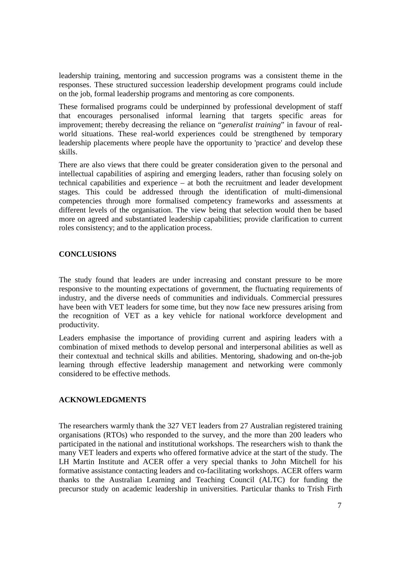leadership training, mentoring and succession programs was a consistent theme in the responses. These structured succession leadership development programs could include on the job, formal leadership programs and mentoring as core components.

These formalised programs could be underpinned by professional development of staff that encourages personalised informal learning that targets specific areas for improvement; thereby decreasing the reliance on "*generalist training*" in favour of realworld situations. These real-world experiences could be strengthened by temporary leadership placements where people have the opportunity to 'practice' and develop these skills.

There are also views that there could be greater consideration given to the personal and intellectual capabilities of aspiring and emerging leaders, rather than focusing solely on technical capabilities and experience – at both the recruitment and leader development stages. This could be addressed through the identification of multi-dimensional competencies through more formalised competency frameworks and assessments at different levels of the organisation. The view being that selection would then be based more on agreed and substantiated leadership capabilities; provide clarification to current roles consistency; and to the application process.

## **CONCLUSIONS**

The study found that leaders are under increasing and constant pressure to be more responsive to the mounting expectations of government, the fluctuating requirements of industry, and the diverse needs of communities and individuals. Commercial pressures have been with VET leaders for some time, but they now face new pressures arising from the recognition of VET as a key vehicle for national workforce development and productivity.

Leaders emphasise the importance of providing current and aspiring leaders with a combination of mixed methods to develop personal and interpersonal abilities as well as their contextual and technical skills and abilities. Mentoring, shadowing and on-the-job learning through effective leadership management and networking were commonly considered to be effective methods.

## **ACKNOWLEDGMENTS**

The researchers warmly thank the 327 VET leaders from 27 Australian registered training organisations (RTOs) who responded to the survey, and the more than 200 leaders who participated in the national and institutional workshops. The researchers wish to thank the many VET leaders and experts who offered formative advice at the start of the study. The LH Martin Institute and ACER offer a very special thanks to John Mitchell for his formative assistance contacting leaders and co-facilitating workshops. ACER offers warm thanks to the Australian Learning and Teaching Council (ALTC) for funding the precursor study on academic leadership in universities. Particular thanks to Trish Firth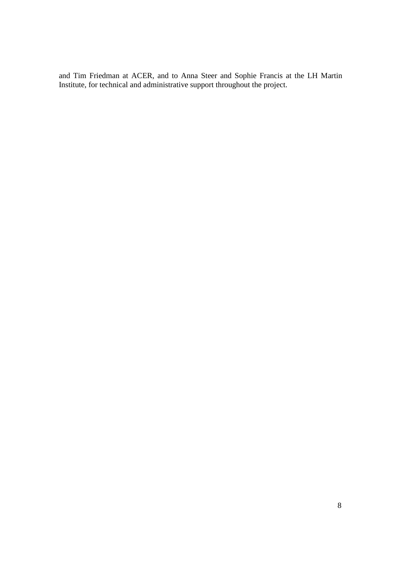and Tim Friedman at ACER, and to Anna Steer and Sophie Francis at the LH Martin Institute, for technical and administrative support throughout the project.